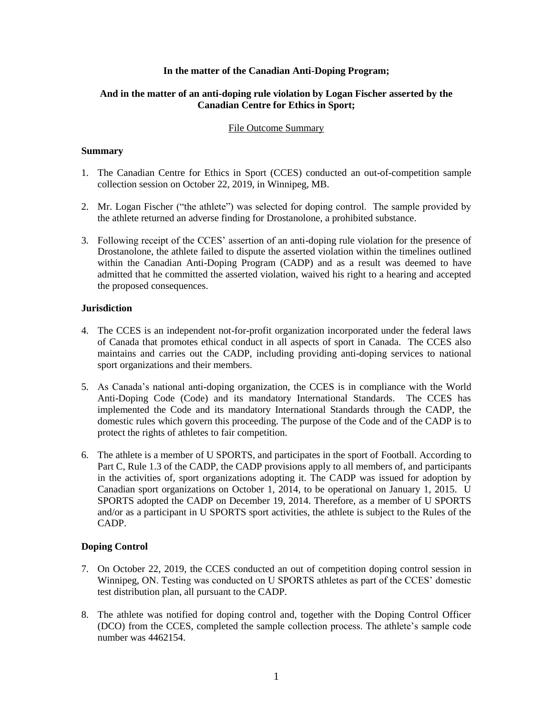## **In the matter of the Canadian Anti-Doping Program;**

# **And in the matter of an anti-doping rule violation by Logan Fischer asserted by the Canadian Centre for Ethics in Sport;**

## File Outcome Summary

## **Summary**

- 1. The Canadian Centre for Ethics in Sport (CCES) conducted an out-of-competition sample collection session on October 22, 2019, in Winnipeg, MB.
- 2. Mr. Logan Fischer ("the athlete") was selected for doping control. The sample provided by the athlete returned an adverse finding for Drostanolone, a prohibited substance.
- 3. Following receipt of the CCES' assertion of an anti-doping rule violation for the presence of Drostanolone, the athlete failed to dispute the asserted violation within the timelines outlined within the Canadian Anti-Doping Program (CADP) and as a result was deemed to have admitted that he committed the asserted violation, waived his right to a hearing and accepted the proposed consequences.

# **Jurisdiction**

- 4. The CCES is an independent not-for-profit organization incorporated under the federal laws of Canada that promotes ethical conduct in all aspects of sport in Canada. The CCES also maintains and carries out the CADP, including providing anti-doping services to national sport organizations and their members.
- 5. As Canada's national anti-doping organization, the CCES is in compliance with the World Anti-Doping Code (Code) and its mandatory International Standards. The CCES has implemented the Code and its mandatory International Standards through the CADP, the domestic rules which govern this proceeding. The purpose of the Code and of the CADP is to protect the rights of athletes to fair competition.
- 6. The athlete is a member of U SPORTS, and participates in the sport of Football. According to Part C, Rule 1.3 of the CADP, the CADP provisions apply to all members of, and participants in the activities of, sport organizations adopting it. The CADP was issued for adoption by Canadian sport organizations on October 1, 2014, to be operational on January 1, 2015. U SPORTS adopted the CADP on December 19, 2014. Therefore, as a member of U SPORTS and/or as a participant in U SPORTS sport activities, the athlete is subject to the Rules of the CADP.

# **Doping Control**

- 7. On October 22, 2019, the CCES conducted an out of competition doping control session in Winnipeg, ON. Testing was conducted on U SPORTS athletes as part of the CCES' domestic test distribution plan, all pursuant to the CADP.
- 8. The athlete was notified for doping control and, together with the Doping Control Officer (DCO) from the CCES, completed the sample collection process. The athlete's sample code number was 4462154.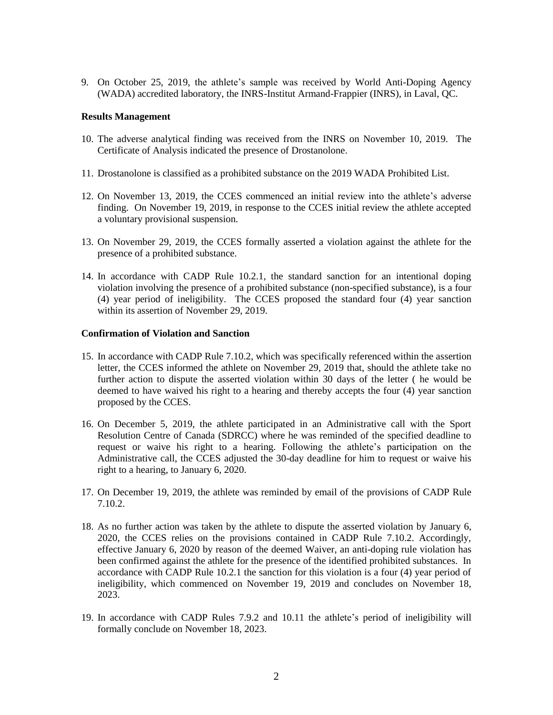9. On October 25, 2019, the athlete's sample was received by World Anti-Doping Agency (WADA) accredited laboratory, the INRS-Institut Armand-Frappier (INRS), in Laval, QC.

#### **Results Management**

- 10. The adverse analytical finding was received from the INRS on November 10, 2019. The Certificate of Analysis indicated the presence of Drostanolone.
- 11. Drostanolone is classified as a prohibited substance on the 2019 WADA Prohibited List.
- 12. On November 13, 2019, the CCES commenced an initial review into the athlete's adverse finding. On November 19, 2019, in response to the CCES initial review the athlete accepted a voluntary provisional suspension.
- 13. On November 29, 2019, the CCES formally asserted a violation against the athlete for the presence of a prohibited substance.
- 14. In accordance with CADP Rule 10.2.1, the standard sanction for an intentional doping violation involving the presence of a prohibited substance (non-specified substance), is a four (4) year period of ineligibility. The CCES proposed the standard four (4) year sanction within its assertion of November 29, 2019.

#### **Confirmation of Violation and Sanction**

- 15. In accordance with CADP Rule 7.10.2, which was specifically referenced within the assertion letter, the CCES informed the athlete on November 29, 2019 that, should the athlete take no further action to dispute the asserted violation within 30 days of the letter ( he would be deemed to have waived his right to a hearing and thereby accepts the four (4) year sanction proposed by the CCES.
- 16. On December 5, 2019, the athlete participated in an Administrative call with the Sport Resolution Centre of Canada (SDRCC) where he was reminded of the specified deadline to request or waive his right to a hearing. Following the athlete's participation on the Administrative call, the CCES adjusted the 30-day deadline for him to request or waive his right to a hearing, to January 6, 2020.
- 17. On December 19, 2019, the athlete was reminded by email of the provisions of CADP Rule 7.10.2.
- 18. As no further action was taken by the athlete to dispute the asserted violation by January 6, 2020, the CCES relies on the provisions contained in CADP Rule 7.10.2. Accordingly, effective January 6, 2020 by reason of the deemed Waiver, an anti-doping rule violation has been confirmed against the athlete for the presence of the identified prohibited substances. In accordance with CADP Rule 10.2.1 the sanction for this violation is a four (4) year period of ineligibility, which commenced on November 19, 2019 and concludes on November 18, 2023.
- 19. In accordance with CADP Rules 7.9.2 and 10.11 the athlete's period of ineligibility will formally conclude on November 18, 2023.